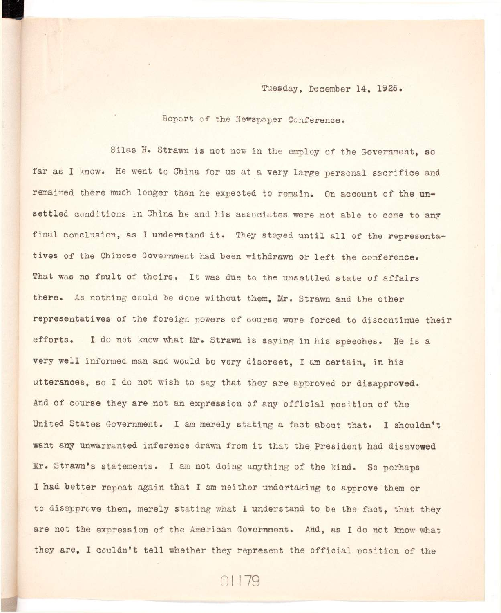## **Tuesday, December 14, 1926.**

**Report of the Newspaper Conference.** 

Silas H. Strawn is not now in the employ of the Government, so far as I know. He went to China for us at a very large personal sacrifice and remained there much longer than he expected to remain. On account of the un**settled conditions in China he and his associates were not able to come to any**  final conclusion, as I understand it. They stayed until all of the representatives of the Chinese Government had been withdrawn or left the conference. That was no fault of theirs. It was due to the unsettled state of affairs **there. As nothing could be done without them, Mr. Strawn and the other representatives of the foreign powers of course were forced to discontinue their**  efforts. I do not know what Mr. Strawn is saying in his speeches. He is a very well informed man and would be very discreet. I am certain, in his **utterances, so I do not wish to say that they are approved or disapproved.**  And of course they are not an expression of any official position of the **United States Government. I am merely stating a fact about that. I shouldn't**  want any unwarranted inference drawn from it that the President had disavowed **Mr. Strawn's statements. I am not doing anything of the kind. So perhaps I had better repeat again that I am neither undertaking to approve them or to disapprove them, merely stating what I understand to be the fact, that they are not the expression of the American Government. And, as I do not know what**  they are, I couldn't tell whether they represent the official position of the

01179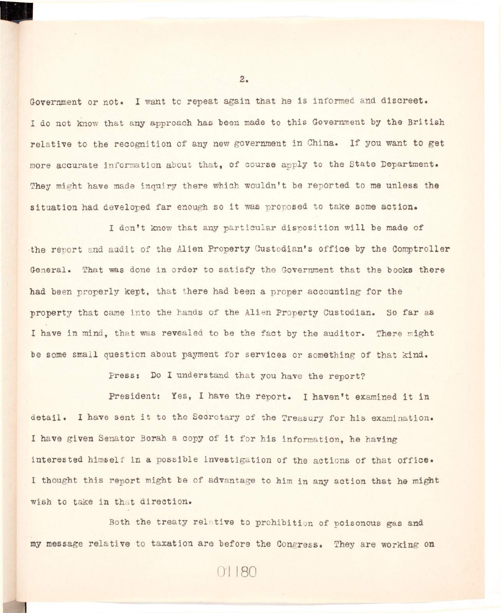Government or not. I want to repeat again that he is informed and discreet. I do not know that any approach has been made to this Government by the British relative to the recognition of any new government in China. If you want to get **more accurate information about that, of course apply to the State Department.**  They might have made inquiry there which wouldn't be reported to me unless the **situation had developed far enough so i t was proposed to take some action.** 

I don't know that any particular disposition will be made of the report and audit of the Alien Property Custodian's office by the Comptroller General. That was done in order to satisfy the Government that the books there **had been properly kept, that there had been a proper accounting for the**  property that came into the hands of the Alien Property Custodian. So far as I have in mind, that was revealed to be the fact by the auditor. There might **be some small question about payment for services or something of that kind.** 

**Press: Do I understand that you have the report?** 

President: Yes, I have the report. I haven't examined it in detail. I have sent it to the Secretary of the Treasury for his examination. I have given Senator Borah a copy of it for his information, he having interested himself in a possible investigation of the actions of that office. I thought this report might be of advantage to him in any action that he might wish to take in that direction.

Both the treaty relative to prohibition of poisonous gas and my message relative to taxation are before the Congress. They are working on

01180

 $2.$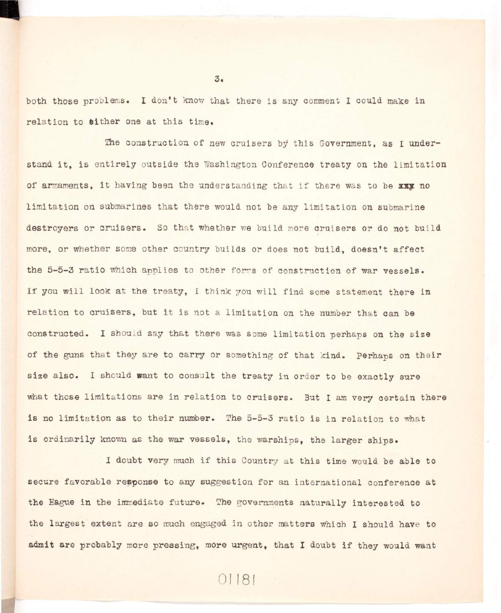both those problems. I don't know that there is any comment I could make in relation to **either** one at this time.

The construction of new cruisers by this Government, as I understand it, is entirely outside the Washington Conference treaty on the limitation of armaments, it having been the understanding that if there was to be xxx no **limitatio n on submarines that there would not be any limitatio n on submarine**  destroyers or cruisers. So that whether we build more cruisers or do not build more, or whether some other country builds or does not build, doesn't affect the 5-5-3 ratio which applies to other forms of construction of war vessels. If you will look at the treaty, I think you will find some statement there in relation to cruisers, but it is not a limitation on the number that can be constructed. I should say that there was some limitation perhaps on the size of the guns that they are to carry or something of that kind. Perhaps on their size also. I should want to consult the treaty in order to be exactly sure what those limitations are in relation to cruisers. But I am very certain there is no limitation as to their number. The 5-5-3 ratio is in relation to what is ordinarily known as the war vessels, the warships, the larger ships.

I doubt very much if this Country at this time would be able to **secure favorable response to any suggestion for an international conference at**  the Hague in the immediate future. The governments naturally interested to **the largest extent are so much engaged i n other matters which I should have to**  admit are probably more pressing, more urgent, that I doubt if they would want

 $3.5$ 

01181